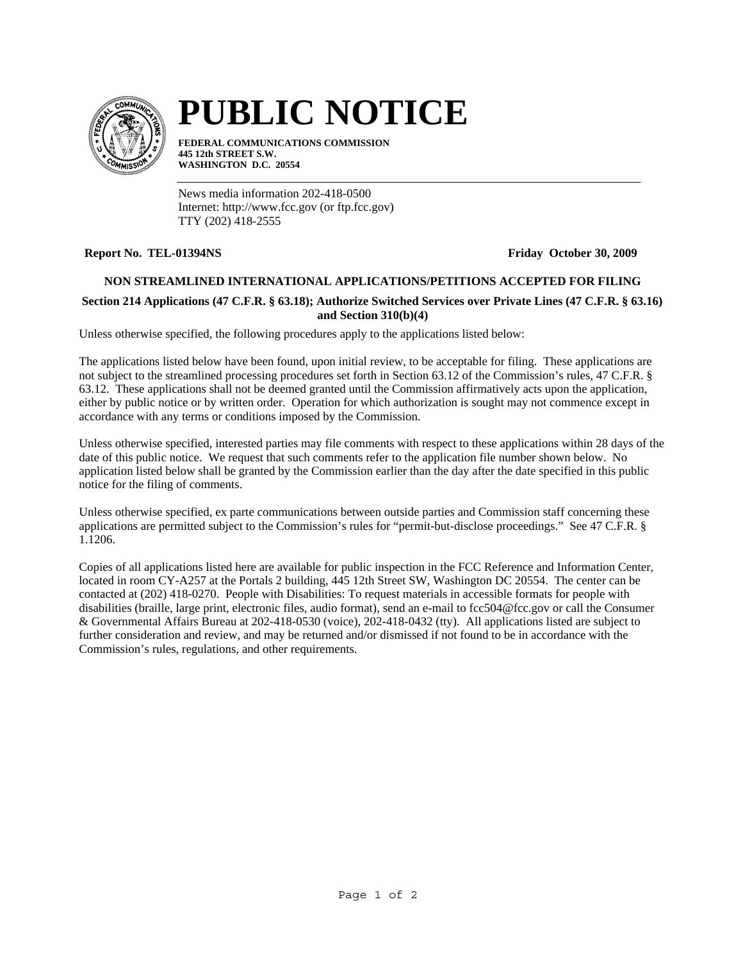

# **PUBLIC NOTICE**

**FEDERAL COMMUNICATIONS COMMISSION 445 12th STREET S.W. WASHINGTON D.C. 20554**

News media information 202-418-0500 Internet: http://www.fcc.gov (or ftp.fcc.gov) TTY (202) 418-2555

## **Report No. TEL-01394NS Friday October 30, 2009**

## **NON STREAMLINED INTERNATIONAL APPLICATIONS/PETITIONS ACCEPTED FOR FILING**

## **Section 214 Applications (47 C.F.R. § 63.18); Authorize Switched Services over Private Lines (47 C.F.R. § 63.16) and Section 310(b)(4)**

Unless otherwise specified, the following procedures apply to the applications listed below:

The applications listed below have been found, upon initial review, to be acceptable for filing. These applications are not subject to the streamlined processing procedures set forth in Section 63.12 of the Commission's rules, 47 C.F.R. § 63.12. These applications shall not be deemed granted until the Commission affirmatively acts upon the application, either by public notice or by written order. Operation for which authorization is sought may not commence except in accordance with any terms or conditions imposed by the Commission.

Unless otherwise specified, interested parties may file comments with respect to these applications within 28 days of the date of this public notice. We request that such comments refer to the application file number shown below. No application listed below shall be granted by the Commission earlier than the day after the date specified in this public notice for the filing of comments.

Unless otherwise specified, ex parte communications between outside parties and Commission staff concerning these applications are permitted subject to the Commission's rules for "permit-but-disclose proceedings." See 47 C.F.R. § 1.1206.

Copies of all applications listed here are available for public inspection in the FCC Reference and Information Center, located in room CY-A257 at the Portals 2 building, 445 12th Street SW, Washington DC 20554. The center can be contacted at (202) 418-0270. People with Disabilities: To request materials in accessible formats for people with disabilities (braille, large print, electronic files, audio format), send an e-mail to fcc504@fcc.gov or call the Consumer & Governmental Affairs Bureau at 202-418-0530 (voice), 202-418-0432 (tty). All applications listed are subject to further consideration and review, and may be returned and/or dismissed if not found to be in accordance with the Commission's rules, regulations, and other requirements.